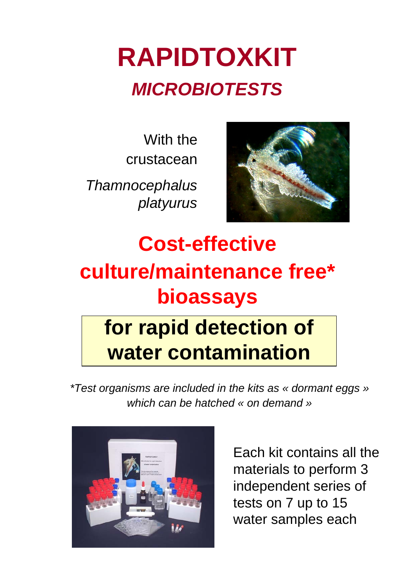## **RAPIDTOXKIT** *MICROBIOTESTS*

With the crustacean

*Thamnocephalus platyurus*



**Cost-effective culture/maintenance free\* bioassays for rapid detection of water contamination**

*\*Test organisms are included in the kits as « dormant eggs » which can be hatched « on demand »*



Each kit contains all the materials to perform 3 independent series of tests on 7 up to 15 water samples each